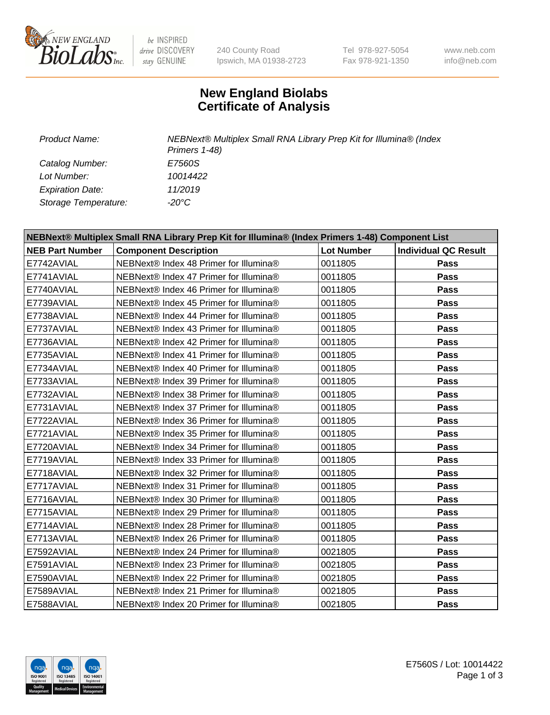

be INSPIRED drive DISCOVERY stay GENUINE

240 County Road Ipswich, MA 01938-2723 Tel 978-927-5054 Fax 978-921-1350

www.neb.com info@neb.com

## **New England Biolabs Certificate of Analysis**

*Catalog Number: E7560S Lot Number: 10014422 Expiration Date: 11/2019 Storage Temperature: -20°C*

*Product Name: NEBNext® Multiplex Small RNA Library Prep Kit for Illumina® (Index Primers 1-48)*

| NEBNext® Multiplex Small RNA Library Prep Kit for Illumina® (Index Primers 1-48) Component List |                                        |                   |                             |  |  |
|-------------------------------------------------------------------------------------------------|----------------------------------------|-------------------|-----------------------------|--|--|
| <b>NEB Part Number</b>                                                                          | <b>Component Description</b>           | <b>Lot Number</b> | <b>Individual QC Result</b> |  |  |
| E7742AVIAL                                                                                      | NEBNext® Index 48 Primer for Illumina® | 0011805           | Pass                        |  |  |
| E7741AVIAL                                                                                      | NEBNext® Index 47 Primer for Illumina® | 0011805           | Pass                        |  |  |
| E7740AVIAL                                                                                      | NEBNext® Index 46 Primer for Illumina® | 0011805           | <b>Pass</b>                 |  |  |
| E7739AVIAL                                                                                      | NEBNext® Index 45 Primer for Illumina® | 0011805           | Pass                        |  |  |
| E7738AVIAL                                                                                      | NEBNext® Index 44 Primer for Illumina® | 0011805           | Pass                        |  |  |
| E7737AVIAL                                                                                      | NEBNext® Index 43 Primer for Illumina® | 0011805           | Pass                        |  |  |
| E7736AVIAL                                                                                      | NEBNext® Index 42 Primer for Illumina® | 0011805           | Pass                        |  |  |
| E7735AVIAL                                                                                      | NEBNext® Index 41 Primer for Illumina® | 0011805           | Pass                        |  |  |
| E7734AVIAL                                                                                      | NEBNext® Index 40 Primer for Illumina® | 0011805           | Pass                        |  |  |
| E7733AVIAL                                                                                      | NEBNext® Index 39 Primer for Illumina® | 0011805           | Pass                        |  |  |
| E7732AVIAL                                                                                      | NEBNext® Index 38 Primer for Illumina® | 0011805           | Pass                        |  |  |
| E7731AVIAL                                                                                      | NEBNext® Index 37 Primer for Illumina® | 0011805           | <b>Pass</b>                 |  |  |
| E7722AVIAL                                                                                      | NEBNext® Index 36 Primer for Illumina® | 0011805           | <b>Pass</b>                 |  |  |
| E7721AVIAL                                                                                      | NEBNext® Index 35 Primer for Illumina® | 0011805           | Pass                        |  |  |
| E7720AVIAL                                                                                      | NEBNext® Index 34 Primer for Illumina® | 0011805           | Pass                        |  |  |
| E7719AVIAL                                                                                      | NEBNext® Index 33 Primer for Illumina® | 0011805           | <b>Pass</b>                 |  |  |
| E7718AVIAL                                                                                      | NEBNext® Index 32 Primer for Illumina® | 0011805           | <b>Pass</b>                 |  |  |
| E7717AVIAL                                                                                      | NEBNext® Index 31 Primer for Illumina® | 0011805           | Pass                        |  |  |
| E7716AVIAL                                                                                      | NEBNext® Index 30 Primer for Illumina® | 0011805           | Pass                        |  |  |
| E7715AVIAL                                                                                      | NEBNext® Index 29 Primer for Illumina® | 0011805           | <b>Pass</b>                 |  |  |
| E7714AVIAL                                                                                      | NEBNext® Index 28 Primer for Illumina® | 0011805           | Pass                        |  |  |
| E7713AVIAL                                                                                      | NEBNext® Index 26 Primer for Illumina® | 0011805           | <b>Pass</b>                 |  |  |
| E7592AVIAL                                                                                      | NEBNext® Index 24 Primer for Illumina® | 0021805           | Pass                        |  |  |
| E7591AVIAL                                                                                      | NEBNext® Index 23 Primer for Illumina® | 0021805           | Pass                        |  |  |
| E7590AVIAL                                                                                      | NEBNext® Index 22 Primer for Illumina® | 0021805           | Pass                        |  |  |
| E7589AVIAL                                                                                      | NEBNext® Index 21 Primer for Illumina® | 0021805           | Pass                        |  |  |
| E7588AVIAL                                                                                      | NEBNext® Index 20 Primer for Illumina® | 0021805           | <b>Pass</b>                 |  |  |

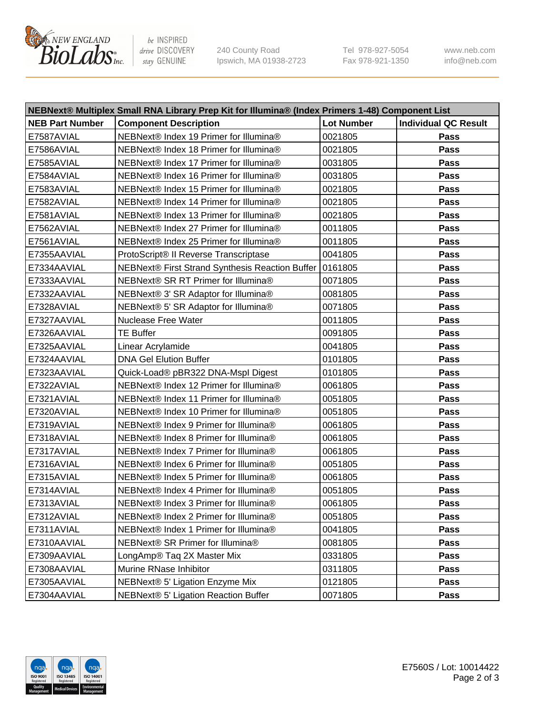

be INSPIRED drive DISCOVERY stay GENUINE

240 County Road Ipswich, MA 01938-2723 Tel 978-927-5054 Fax 978-921-1350 www.neb.com info@neb.com

| NEBNext® Multiplex Small RNA Library Prep Kit for Illumina® (Index Primers 1-48) Component List |                                                 |                   |                             |  |  |
|-------------------------------------------------------------------------------------------------|-------------------------------------------------|-------------------|-----------------------------|--|--|
| <b>NEB Part Number</b>                                                                          | <b>Component Description</b>                    | <b>Lot Number</b> | <b>Individual QC Result</b> |  |  |
| E7587AVIAL                                                                                      | NEBNext® Index 19 Primer for Illumina®          | 0021805           | Pass                        |  |  |
| E7586AVIAL                                                                                      | NEBNext® Index 18 Primer for Illumina®          | 0021805           | Pass                        |  |  |
| E7585AVIAL                                                                                      | NEBNext® Index 17 Primer for Illumina®          | 0031805           | Pass                        |  |  |
| E7584AVIAL                                                                                      | NEBNext® Index 16 Primer for Illumina®          | 0031805           | Pass                        |  |  |
| E7583AVIAL                                                                                      | NEBNext® Index 15 Primer for Illumina®          | 0021805           | Pass                        |  |  |
| E7582AVIAL                                                                                      | NEBNext® Index 14 Primer for Illumina®          | 0021805           | Pass                        |  |  |
| E7581AVIAL                                                                                      | NEBNext® Index 13 Primer for Illumina®          | 0021805           | Pass                        |  |  |
| E7562AVIAL                                                                                      | NEBNext® Index 27 Primer for Illumina®          | 0011805           | Pass                        |  |  |
| E7561AVIAL                                                                                      | NEBNext® Index 25 Primer for Illumina®          | 0011805           | Pass                        |  |  |
| E7355AAVIAL                                                                                     | ProtoScript® II Reverse Transcriptase           | 0041805           | Pass                        |  |  |
| E7334AAVIAL                                                                                     | NEBNext® First Strand Synthesis Reaction Buffer | 0161805           | Pass                        |  |  |
| E7333AAVIAL                                                                                     | NEBNext® SR RT Primer for Illumina®             | 0071805           | Pass                        |  |  |
| E7332AAVIAL                                                                                     | NEBNext® 3' SR Adaptor for Illumina®            | 0081805           | Pass                        |  |  |
| E7328AVIAL                                                                                      | NEBNext® 5' SR Adaptor for Illumina®            | 0071805           | Pass                        |  |  |
| E7327AAVIAL                                                                                     | <b>Nuclease Free Water</b>                      | 0011805           | Pass                        |  |  |
| E7326AAVIAL                                                                                     | <b>TE Buffer</b>                                | 0091805           | Pass                        |  |  |
| E7325AAVIAL                                                                                     | Linear Acrylamide                               | 0041805           | Pass                        |  |  |
| E7324AAVIAL                                                                                     | <b>DNA Gel Elution Buffer</b>                   | 0101805           | Pass                        |  |  |
| E7323AAVIAL                                                                                     | Quick-Load® pBR322 DNA-Mspl Digest              | 0101805           | <b>Pass</b>                 |  |  |
| E7322AVIAL                                                                                      | NEBNext® Index 12 Primer for Illumina®          | 0061805           | Pass                        |  |  |
| E7321AVIAL                                                                                      | NEBNext® Index 11 Primer for Illumina®          | 0051805           | <b>Pass</b>                 |  |  |
| E7320AVIAL                                                                                      | NEBNext® Index 10 Primer for Illumina®          | 0051805           | Pass                        |  |  |
| E7319AVIAL                                                                                      | NEBNext® Index 9 Primer for Illumina®           | 0061805           | Pass                        |  |  |
| E7318AVIAL                                                                                      | NEBNext® Index 8 Primer for Illumina®           | 0061805           | Pass                        |  |  |
| E7317AVIAL                                                                                      | NEBNext® Index 7 Primer for Illumina®           | 0061805           | Pass                        |  |  |
| E7316AVIAL                                                                                      | NEBNext® Index 6 Primer for Illumina®           | 0051805           | Pass                        |  |  |
| E7315AVIAL                                                                                      | NEBNext® Index 5 Primer for Illumina®           | 0061805           | Pass                        |  |  |
| E7314AVIAL                                                                                      | NEBNext® Index 4 Primer for Illumina®           | 0051805           | Pass                        |  |  |
| E7313AVIAL                                                                                      | NEBNext® Index 3 Primer for Illumina®           | 0061805           | Pass                        |  |  |
| E7312AVIAL                                                                                      | NEBNext® Index 2 Primer for Illumina®           | 0051805           | <b>Pass</b>                 |  |  |
| E7311AVIAL                                                                                      | NEBNext® Index 1 Primer for Illumina®           | 0041805           | Pass                        |  |  |
| E7310AAVIAL                                                                                     | NEBNext® SR Primer for Illumina®                | 0081805           | Pass                        |  |  |
| E7309AAVIAL                                                                                     | LongAmp® Taq 2X Master Mix                      | 0331805           | <b>Pass</b>                 |  |  |
| E7308AAVIAL                                                                                     | Murine RNase Inhibitor                          | 0311805           | Pass                        |  |  |
| E7305AAVIAL                                                                                     | NEBNext® 5' Ligation Enzyme Mix                 | 0121805           | Pass                        |  |  |
| E7304AAVIAL                                                                                     | NEBNext® 5' Ligation Reaction Buffer            | 0071805           | Pass                        |  |  |